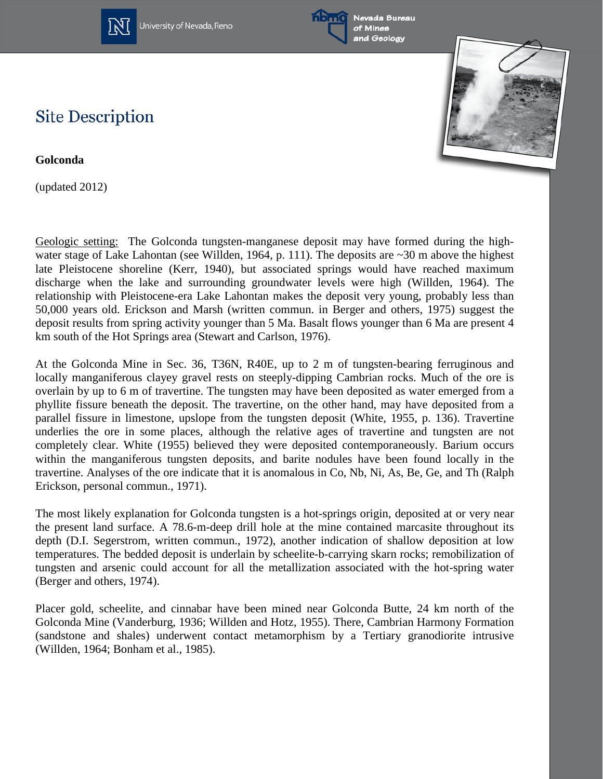

University of Nevada, Reno





## **Site Description**

**Golconda**

(updated 2012)

Geologic setting: The Golconda tungsten-manganese deposit may have formed during the highwater stage of Lake Lahontan (see Willden, 1964, p. 111). The deposits are ~30 m above the highest late Pleistocene shoreline (Kerr, 1940), but associated springs would have reached maximum discharge when the lake and surrounding groundwater levels were high (Willden, 1964). The relationship with Pleistocene-era Lake Lahontan makes the deposit very young, probably less than 50,000 years old. Erickson and Marsh (written commun. in Berger and others, 1975) suggest the deposit results from spring activity younger than 5 Ma. Basalt flows younger than 6 Ma are present 4 km south of the Hot Springs area (Stewart and Carlson, 1976).

At the Golconda Mine in Sec. 36, T36N, R40E, up to 2 m of tungsten-bearing ferruginous and locally manganiferous clayey gravel rests on steeply-dipping Cambrian rocks. Much of the ore is overlain by up to 6 m of travertine. The tungsten may have been deposited as water emerged from a phyllite fissure beneath the deposit. The travertine, on the other hand, may have deposited from a parallel fissure in limestone, upslope from the tungsten deposit (White, 1955, p. 136). Travertine underlies the ore in some places, although the relative ages of travertine and tungsten are not completely clear. White (1955) believed they were deposited contemporaneously. Barium occurs within the manganiferous tungsten deposits, and barite nodules have been found locally in the travertine. Analyses of the ore indicate that it is anomalous in Co, Nb, Ni, As, Be, Ge, and Th (Ralph Erickson, personal commun., 1971).

The most likely explanation for Golconda tungsten is a hot-springs origin, deposited at or very near the present land surface. A 78.6-m-deep drill hole at the mine contained marcasite throughout its depth (D.I. Segerstrom, written commun., 1972), another indication of shallow deposition at low temperatures. The bedded deposit is underlain by scheelite-b-carrying skarn rocks; remobilization of tungsten and arsenic could account for all the metallization associated with the hot-spring water (Berger and others, 1974).

Placer gold, scheelite, and cinnabar have been mined near Golconda Butte, 24 km north of the Golconda Mine (Vanderburg, 1936; Willden and Hotz, 1955). There, Cambrian Harmony Formation (sandstone and shales) underwent contact metamorphism by a Tertiary granodiorite intrusive (Willden, 1964; Bonham et al., 1985).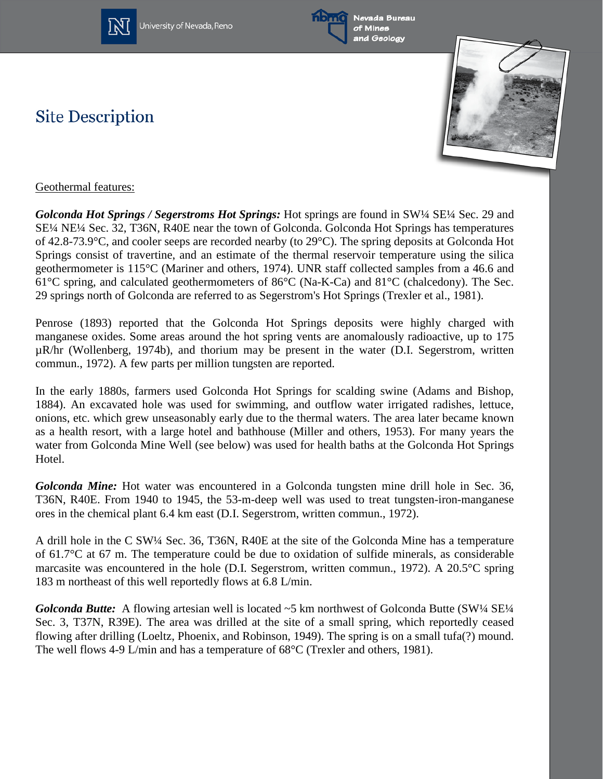

University of Nevada, Reno



Nevada Bureau of Mines and Geology

## **Site Description**



## Geothermal features:

*Golconda Hot Springs / Segerstroms Hot Springs:* Hot springs are found in SW¼ SE¼ Sec. 29 and SE¼ NE¼ Sec. 32, T36N, R40E near the town of Golconda. Golconda Hot Springs has temperatures of 42.8-73.9°C, and cooler seeps are recorded nearby (to 29°C). The spring deposits at Golconda Hot Springs consist of travertine, and an estimate of the thermal reservoir temperature using the silica geothermometer is 115°C (Mariner and others, 1974). UNR staff collected samples from a 46.6 and 61°C spring, and calculated geothermometers of 86°C (Na-K-Ca) and 81°C (chalcedony). The Sec. 29 springs north of Golconda are referred to as Segerstrom's Hot Springs (Trexler et al., 1981).

Penrose (1893) reported that the Golconda Hot Springs deposits were highly charged with manganese oxides. Some areas around the hot spring vents are anomalously radioactive, up to 175 µR/hr (Wollenberg, 1974b), and thorium may be present in the water (D.I. Segerstrom, written commun., 1972). A few parts per million tungsten are reported.

In the early 1880s, farmers used Golconda Hot Springs for scalding swine (Adams and Bishop, 1884). An excavated hole was used for swimming, and outflow water irrigated radishes, lettuce, onions, etc. which grew unseasonably early due to the thermal waters. The area later became known as a health resort, with a large hotel and bathhouse (Miller and others, 1953). For many years the water from Golconda Mine Well (see below) was used for health baths at the Golconda Hot Springs Hotel.

*Golconda Mine:* Hot water was encountered in a Golconda tungsten mine drill hole in Sec. 36, T36N, R40E. From 1940 to 1945, the 53-m-deep well was used to treat tungsten-iron-manganese ores in the chemical plant 6.4 km east (D.I. Segerstrom, written commun., 1972).

A drill hole in the C SW¼ Sec. 36, T36N, R40E at the site of the Golconda Mine has a temperature of 61.7°C at 67 m. The temperature could be due to oxidation of sulfide minerals, as considerable marcasite was encountered in the hole (D.I. Segerstrom, written commun., 1972). A 20.5°C spring 183 m northeast of this well reportedly flows at 6.8 L/min.

*Golconda Butte:* A flowing artesian well is located ~5 km northwest of Golconda Butte (SW¼ SE¼ Sec. 3, T37N, R39E). The area was drilled at the site of a small spring, which reportedly ceased flowing after drilling (Loeltz, Phoenix, and Robinson, 1949). The spring is on a small tufa(?) mound. The well flows 4-9 L/min and has a temperature of 68°C (Trexler and others, 1981).